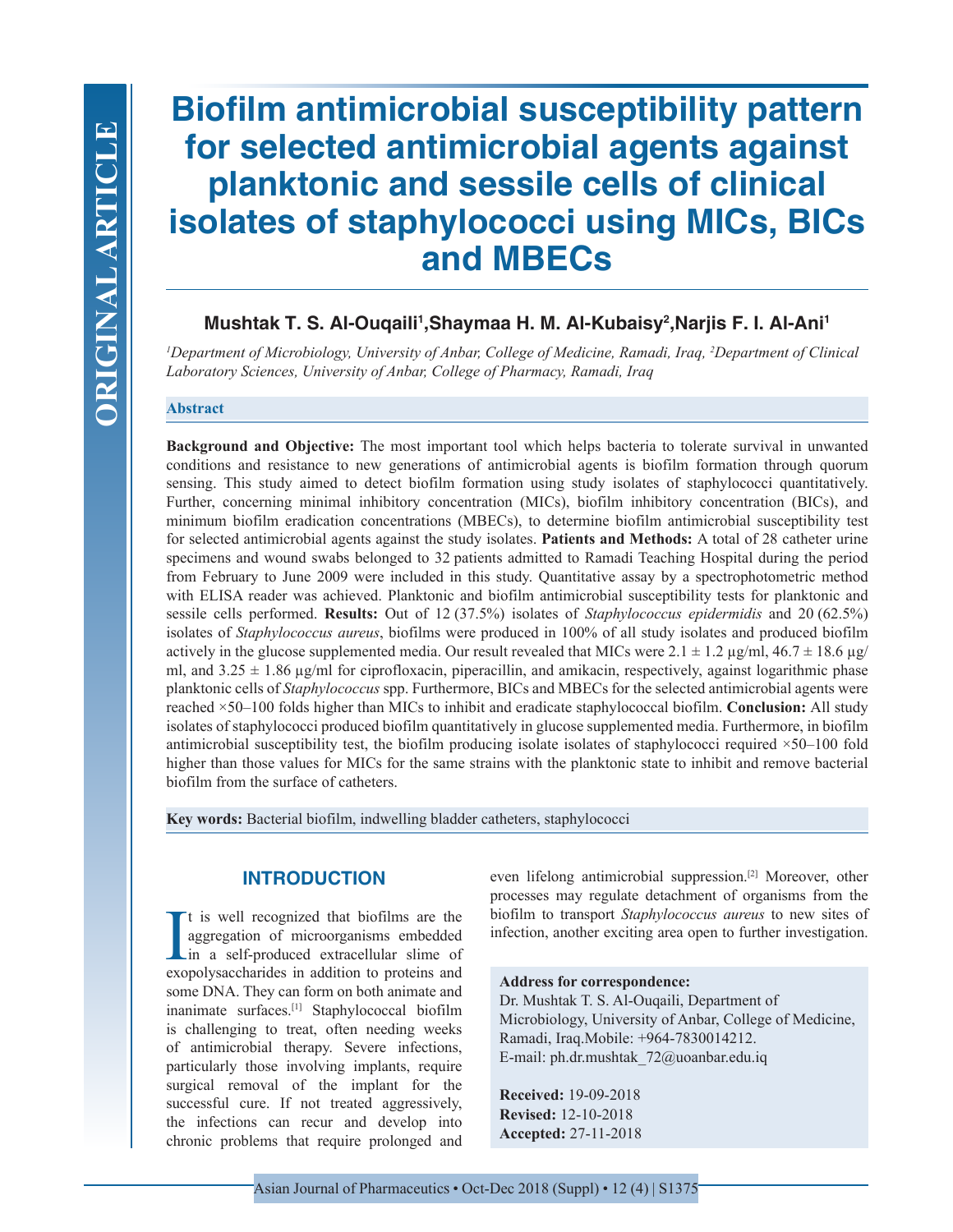# **Biofilm antimicrobial susceptibility pattern for selected antimicrobial agents against planktonic and sessile cells of clinical isolates of staphylococci using MICs, BICs and MBECs**

# **Mushtak T. S. Al-Ouqaili1 ,Shaymaa H. M. Al-Kubaisy2 ,Narjis F. I. Al-Ani1**

*1 Department of Microbiology, University of Anbar, College of Medicine, Ramadi, Iraq, 2 Department of Clinical Laboratory Sciences, University of Anbar, College of Pharmacy, Ramadi, Iraq*

## **Abstract**

**Background and Objective:** The most important tool which helps bacteria to tolerate survival in unwanted conditions and resistance to new generations of antimicrobial agents is biofilm formation through quorum sensing. This study aimed to detect biofilm formation using study isolates of staphylococci quantitatively. Further, concerning minimal inhibitory concentration (MICs), biofilm inhibitory concentration (BICs), and minimum biofilm eradication concentrations (MBECs), to determine biofilm antimicrobial susceptibility test for selected antimicrobial agents against the study isolates. **Patients and Methods:** A total of 28 catheter urine specimens and wound swabs belonged to 32 patients admitted to Ramadi Teaching Hospital during the period from February to June 2009 were included in this study. Quantitative assay by a spectrophotometric method with ELISA reader was achieved. Planktonic and biofilm antimicrobial susceptibility tests for planktonic and sessile cells performed. **Results:** Out of 12 (37.5%) isolates of *Staphylococcus epidermidis* and 20 (62.5%) isolates of *Staphylococcus aureus*, biofilms were produced in 100% of all study isolates and produced biofilm actively in the glucose supplemented media. Our result revealed that MICs were 2.1  $\pm$  1.2  $\mu$ g/ml, 46.7  $\pm$  18.6  $\mu$ g/ ml, and  $3.25 \pm 1.86$  µg/ml for ciprofloxacin, piperacillin, and amikacin, respectively, against logarithmic phase planktonic cells of *Staphylococcus* spp. Furthermore, BICs and MBECs for the selected antimicrobial agents were reached ×50–100 folds higher than MICs to inhibit and eradicate staphylococcal biofilm. **Conclusion:** All study isolates of staphylococci produced biofilm quantitatively in glucose supplemented media. Furthermore, in biofilm antimicrobial susceptibility test, the biofilm producing isolate isolates of staphylococci required ×50–100 fold higher than those values for MICs for the same strains with the planktonic state to inhibit and remove bacterial biofilm from the surface of catheters.

**Key words:** Bacterial biofilm, indwelling bladder catheters, staphylococci

# **INTRODUCTION**

It is well recognized that biofilms are the aggregation of microorganisms embedded in a self-produced extracellular slime of exopolysaccharides in addition to proteins and t is well recognized that biofilms are the aggregation of microorganisms embedded in a self-produced extracellular slime of some DNA. They can form on both animate and inanimate surfaces.[1] Staphylococcal biofilm is challenging to treat, often needing weeks of antimicrobial therapy. Severe infections, particularly those involving implants, require surgical removal of the implant for the successful cure. If not treated aggressively, the infections can recur and develop into chronic problems that require prolonged and

even lifelong antimicrobial suppression.[2] Moreover, other processes may regulate detachment of organisms from the biofilm to transport *Staphylococcus aureus* to new sites of infection, another exciting area open to further investigation.

#### **Address for correspondence:**

Dr. Mushtak T. S. Al-Ouqaili, Department of Microbiology, University of Anbar, College of Medicine, Ramadi, Iraq.Mobile: +964-7830014212. E-mail: ph.dr.mushtak\_72@uoanbar.edu.iq

**Received:** 19-09-2018 **Revised:** 12-10-2018 **Accepted:** 27-11-2018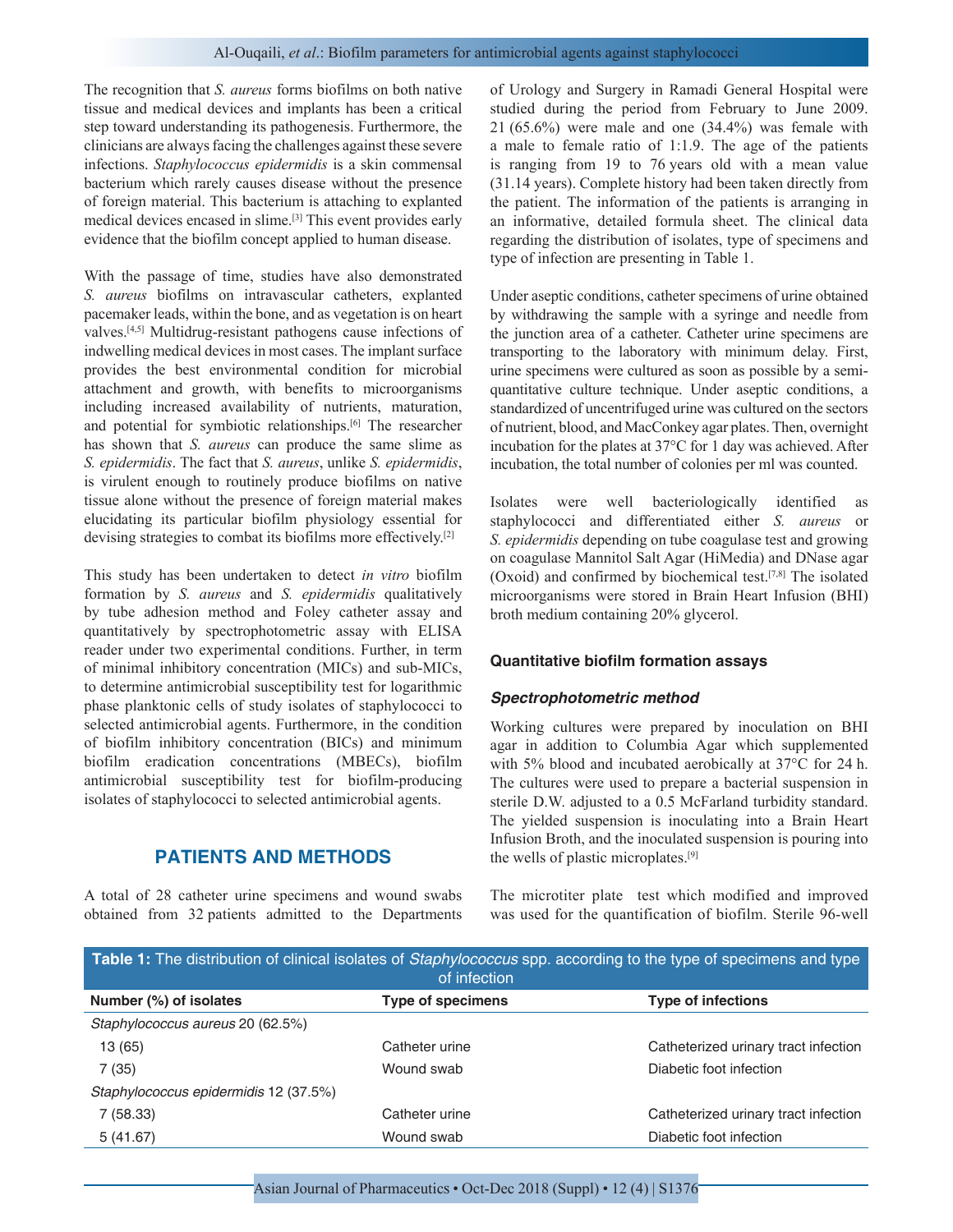The recognition that *S. aureus* forms biofilms on both native tissue and medical devices and implants has been a critical step toward understanding its pathogenesis. Furthermore, the clinicians are always facing the challenges against these severe infections. *Staphylococcus epidermidis* is a skin commensal bacterium which rarely causes disease without the presence of foreign material. This bacterium is attaching to explanted medical devices encased in slime.[3] This event provides early evidence that the biofilm concept applied to human disease.

With the passage of time, studies have also demonstrated *S. aureus* biofilms on intravascular catheters, explanted pacemaker leads, within the bone, and as vegetation is on heart valves.[4,5] Multidrug-resistant pathogens cause infections of indwelling medical devices in most cases. The implant surface provides the best environmental condition for microbial attachment and growth, with benefits to microorganisms including increased availability of nutrients, maturation, and potential for symbiotic relationships.<sup>[6]</sup> The researcher has shown that *S. aureus* can produce the same slime as *S. epidermidis*. The fact that *S. aureus*, unlike *S. epidermidis*, is virulent enough to routinely produce biofilms on native tissue alone without the presence of foreign material makes elucidating its particular biofilm physiology essential for devising strategies to combat its biofilms more effectively.<sup>[2]</sup>

This study has been undertaken to detect *in vitro* biofilm formation by *S. aureus* and *S. epidermidis* qualitatively by tube adhesion method and Foley catheter assay and quantitatively by spectrophotometric assay with ELISA reader under two experimental conditions. Further, in term of minimal inhibitory concentration (MICs) and sub-MICs, to determine antimicrobial susceptibility test for logarithmic phase planktonic cells of study isolates of staphylococci to selected antimicrobial agents. Furthermore, in the condition of biofilm inhibitory concentration (BICs) and minimum biofilm eradication concentrations (MBECs), biofilm antimicrobial susceptibility test for biofilm-producing isolates of staphylococci to selected antimicrobial agents.

# **PATIENTS AND METHODS**

A total of 28 catheter urine specimens and wound swabs obtained from 32 patients admitted to the Departments of Urology and Surgery in Ramadi General Hospital were studied during the period from February to June 2009. 21 (65.6%) were male and one (34.4%) was female with a male to female ratio of 1:1.9. The age of the patients is ranging from 19 to 76 years old with a mean value (31.14 years). Complete history had been taken directly from the patient. The information of the patients is arranging in an informative, detailed formula sheet. The clinical data regarding the distribution of isolates, type of specimens and type of infection are presenting in Table 1.

Under aseptic conditions, catheter specimens of urine obtained by withdrawing the sample with a syringe and needle from the junction area of a catheter. Catheter urine specimens are transporting to the laboratory with minimum delay. First, urine specimens were cultured as soon as possible by a semiquantitative culture technique. Under aseptic conditions, a standardized of uncentrifuged urine was cultured on the sectors of nutrient, blood, and MacConkey agar plates. Then, overnight incubation for the plates at 37°C for 1 day was achieved. After incubation, the total number of colonies per ml was counted.

Isolates were well bacteriologically identified as staphylococci and differentiated either *S. aureus* or *S. epidermidis* depending on tube coagulase test and growing on coagulase Mannitol Salt Agar (HiMedia) and DNase agar (Oxoid) and confirmed by biochemical test.<sup>[7,8]</sup> The isolated microorganisms were stored in Brain Heart Infusion (BHI) broth medium containing 20% glycerol.

#### **Quantitative biofilm formation assays**

#### *Spectrophotometric method*

Working cultures were prepared by inoculation on BHI agar in addition to Columbia Agar which supplemented with 5% blood and incubated aerobically at 37°C for 24 h. The cultures were used to prepare a bacterial suspension in sterile D.W. adjusted to a 0.5 McFarland turbidity standard. The yielded suspension is inoculating into a Brain Heart Infusion Broth, and the inoculated suspension is pouring into the wells of plastic microplates.[9]

The microtiter plate test which modified and improved was used for the quantification of biofilm. Sterile 96-well

| Table 1: The distribution of clinical isolates of Staphylococcus spp. according to the type of specimens and type<br>of infection |                          |                                      |  |  |  |  |  |  |
|-----------------------------------------------------------------------------------------------------------------------------------|--------------------------|--------------------------------------|--|--|--|--|--|--|
| Number (%) of isolates                                                                                                            | <b>Type of specimens</b> | <b>Type of infections</b>            |  |  |  |  |  |  |
| Staphylococcus aureus 20 (62.5%)                                                                                                  |                          |                                      |  |  |  |  |  |  |
| 13 (65)                                                                                                                           | Catheter urine           | Catheterized urinary tract infection |  |  |  |  |  |  |
| 7(35)                                                                                                                             | Wound swab               | Diabetic foot infection              |  |  |  |  |  |  |
| Staphylococcus epidermidis 12 (37.5%)                                                                                             |                          |                                      |  |  |  |  |  |  |
| 7(58.33)                                                                                                                          | Catheter urine           | Catheterized urinary tract infection |  |  |  |  |  |  |
| 5(41.67)                                                                                                                          | Wound swab               | Diabetic foot infection              |  |  |  |  |  |  |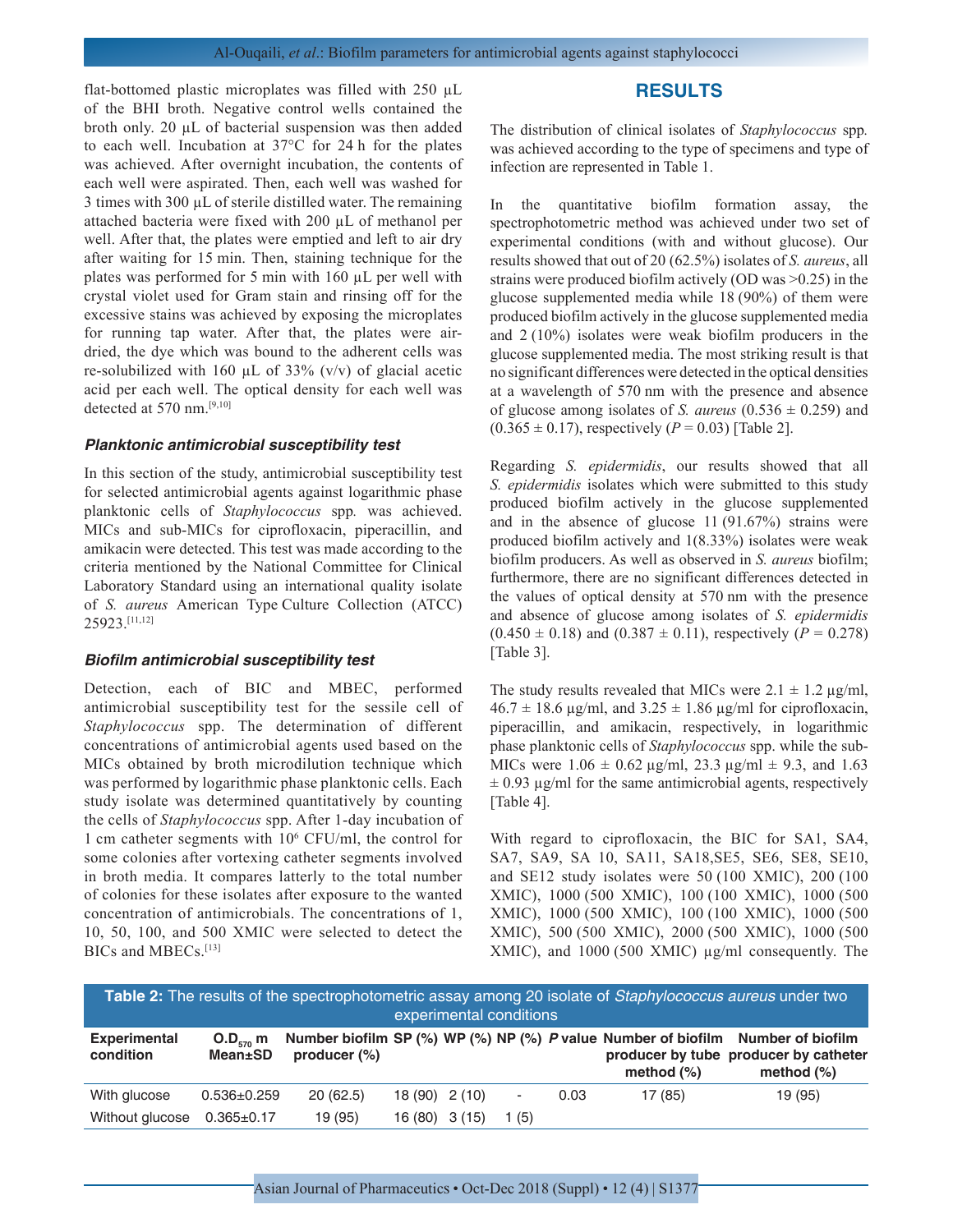## **RESULTS**

flat-bottomed plastic microplates was filled with 250 µL of the BHI broth. Negative control wells contained the broth only. 20 µL of bacterial suspension was then added to each well. Incubation at 37°C for 24 h for the plates was achieved. After overnight incubation, the contents of each well were aspirated. Then, each well was washed for 3 times with 300  $\mu$ L of sterile distilled water. The remaining attached bacteria were fixed with 200 µL of methanol per well. After that, the plates were emptied and left to air dry after waiting for 15 min. Then, staining technique for the plates was performed for 5 min with 160 µL per well with crystal violet used for Gram stain and rinsing off for the excessive stains was achieved by exposing the microplates for running tap water. After that, the plates were airdried, the dye which was bound to the adherent cells was re-solubilized with 160  $\mu$ L of 33% (v/v) of glacial acetic acid per each well. The optical density for each well was detected at 570 nm.[9,10]

#### *Planktonic antimicrobial susceptibility test*

In this section of the study, antimicrobial susceptibility test for selected antimicrobial agents against logarithmic phase planktonic cells of *Staphylococcus* spp*.* was achieved. MICs and sub-MICs for ciprofloxacin, piperacillin, and amikacin were detected. This test was made according to the criteria mentioned by the National Committee for Clinical Laboratory Standard using an international quality isolate of *S. aureus* American Type Culture Collection (ATCC) 25923.[11,12]

#### *Biofilm antimicrobial susceptibility test*

Detection, each of BIC and MBEC, performed antimicrobial susceptibility test for the sessile cell of *Staphylococcus* spp. The determination of different concentrations of antimicrobial agents used based on the MICs obtained by broth microdilution technique which was performed by logarithmic phase planktonic cells. Each study isolate was determined quantitatively by counting the cells of *Staphylococcus* spp. After 1-day incubation of 1 cm catheter segments with 106 CFU/ml, the control for some colonies after vortexing catheter segments involved in broth media. It compares latterly to the total number of colonies for these isolates after exposure to the wanted concentration of antimicrobials. The concentrations of 1, 10, 50, 100, and 500 XMIC were selected to detect the BICs and MBECs.[13]

The distribution of clinical isolates of *Staphylococcus* spp*.* was achieved according to the type of specimens and type of infection are represented in Table 1.

In the quantitative biofilm formation assay, the spectrophotometric method was achieved under two set of experimental conditions (with and without glucose). Our results showed that out of 20 (62.5%) isolates of *S. aureus*, all strains were produced biofilm actively (OD was >0.25) in the glucose supplemented media while 18 (90%) of them were produced biofilm actively in the glucose supplemented media and 2 (10%) isolates were weak biofilm producers in the glucose supplemented media. The most striking result is that no significant differences were detected in the optical densities at a wavelength of 570 nm with the presence and absence of glucose among isolates of *S. aureus*  $(0.536 \pm 0.259)$  and  $(0.365 \pm 0.17)$ , respectively  $(P = 0.03)$  [Table 2].

Regarding *S. epidermidis*, our results showed that all *S. epidermidis* isolates which were submitted to this study produced biofilm actively in the glucose supplemented and in the absence of glucose 11 (91.67%) strains were produced biofilm actively and 1(8.33%) isolates were weak biofilm producers. As well as observed in *S. aureus* biofilm; furthermore, there are no significant differences detected in the values of optical density at 570 nm with the presence and absence of glucose among isolates of *S. epidermidis*  $(0.450 \pm 0.18)$  and  $(0.387 \pm 0.11)$ , respectively  $(P = 0.278)$ [Table 3].

The study results revealed that MICs were  $2.1 \pm 1.2$   $\mu$ g/ml,  $46.7 \pm 18.6$  µg/ml, and  $3.25 \pm 1.86$  µg/ml for ciprofloxacin, piperacillin, and amikacin, respectively, in logarithmic phase planktonic cells of *Staphylococcus* spp. while the sub-MICs were  $1.06 \pm 0.62 \,\mu\text{g/ml}, 23.3 \,\mu\text{g/ml} \pm 9.3$ , and  $1.63$  $\pm$  0.93  $\mu$ g/ml for the same antimicrobial agents, respectively [Table 4].

With regard to ciprofloxacin, the BIC for SA1, SA4, SA7, SA9, SA 10, SA11, SA18,SE5, SE6, SE8, SE10, and SE12 study isolates were 50 (100 XMIC), 200 (100 XMIC), 1000 (500 XMIC), 100 (100 XMIC), 1000 (500 XMIC), 1000 (500 XMIC), 100 (100 XMIC), 1000 (500 XMIC), 500 (500 XMIC), 2000 (500 XMIC), 1000 (500 XMIC), and 1000 (500 XMIC)  $\mu$ g/ml consequently. The

| Table 2: The results of the spectrophotometric assay among 20 isolate of Staphylococcus aureus under two<br>experimental conditions |                          |                 |                |  |                |      |               |                                                                                                                                           |  |  |
|-------------------------------------------------------------------------------------------------------------------------------------|--------------------------|-----------------|----------------|--|----------------|------|---------------|-------------------------------------------------------------------------------------------------------------------------------------------|--|--|
| <b>Experimental</b><br>condition                                                                                                    | $O.D_{570}$ m<br>Mean±SD | producer $(\%)$ |                |  |                |      | method $(\%)$ | Number biofilm SP (%) WP (%) NP (%) P value Number of biofilm Number of biofilm<br>producer by tube producer by catheter<br>method $(\%)$ |  |  |
| With glucose                                                                                                                        | $0.536 \pm 0.259$        | 20(62.5)        | $18(90)$ 2(10) |  | $\blacksquare$ | 0.03 | 17 (85)       | 19 (95)                                                                                                                                   |  |  |
| Without glucose                                                                                                                     | $0.365 \pm 0.17$         | 19 (95)         | $16(80)$ 3(15) |  | 1 (5)          |      |               |                                                                                                                                           |  |  |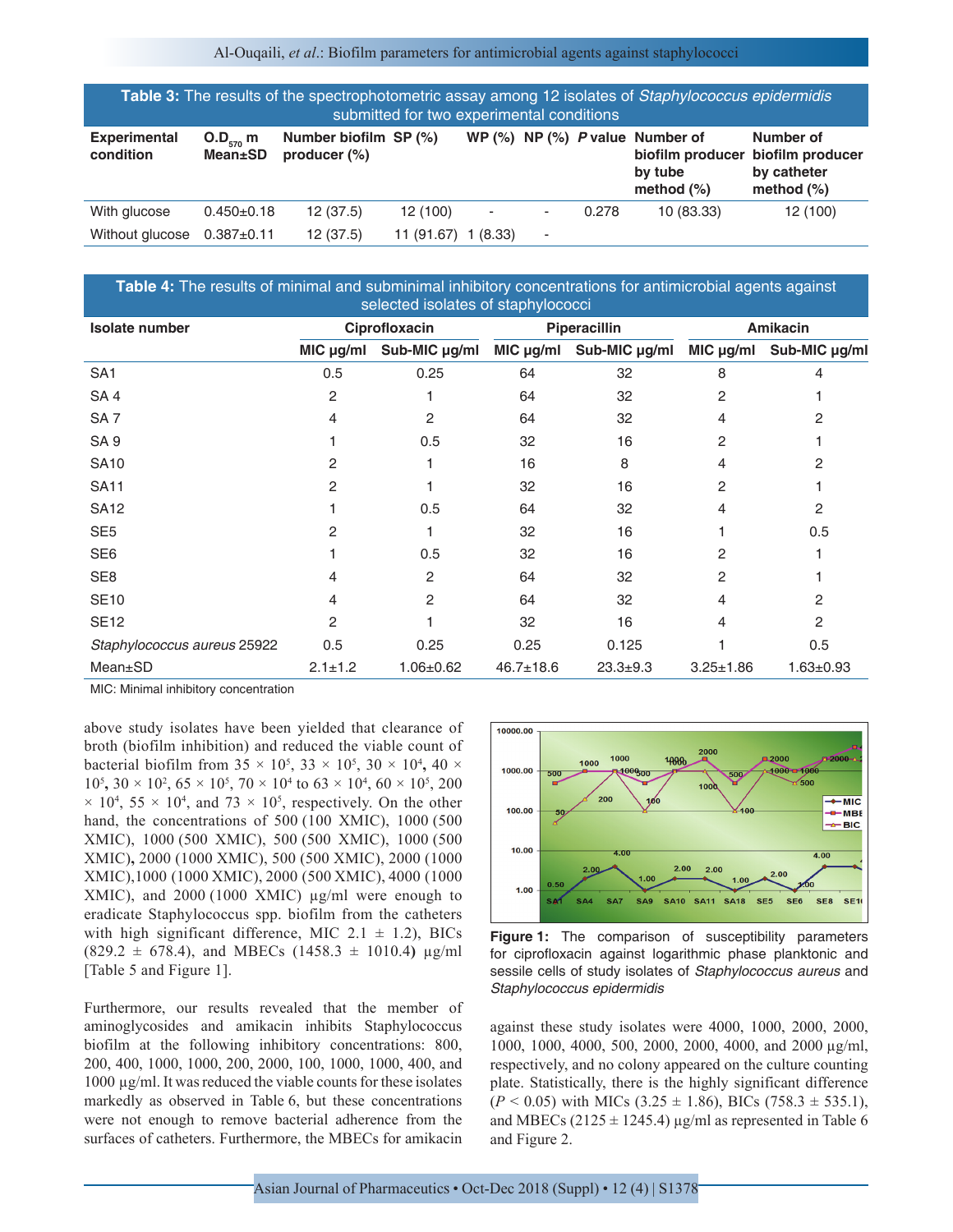Al-Ouqaili, *et al*.: Biofilm parameters for antimicrobial agents against staphylococci

| Table 3: The results of the spectrophotometric assay among 12 isolates of Staphylococcus epidermidis<br>submitted for two experimental conditions |                  |                                          |            |                          |   |       |                                                                   |                                                                                |  |
|---------------------------------------------------------------------------------------------------------------------------------------------------|------------------|------------------------------------------|------------|--------------------------|---|-------|-------------------------------------------------------------------|--------------------------------------------------------------------------------|--|
| <b>Experimental</b><br>O.D <sub>570</sub> m<br><b>Mean</b> ±SD<br>condition                                                                       |                  | Number biofilm SP (%)<br>producer $(\%)$ |            |                          |   |       | WP $(\%)$ NP $(\%)$ P value Number of<br>by tube<br>method $(\%)$ | Number of<br>biofilm producer biofilm producer<br>by catheter<br>method $(\%)$ |  |
| With glucose                                                                                                                                      | $0.450 \pm 0.18$ | 12(37.5)                                 | 12 (100)   | $\overline{\phantom{a}}$ | ۰ | 0.278 | 10 (83.33)                                                        | 12 (100)                                                                       |  |
| Without glucose                                                                                                                                   | $0.387 + 0.11$   | 12(37.5)                                 | 11 (91.67) | 1(8.33)                  | ٠ |       |                                                                   |                                                                                |  |

| Table 4: The results of minimal and subminimal inhibitory concentrations for antimicrobial agents against<br>selected isolates of staphylococci |               |                    |                 |                         |                  |                 |  |  |  |
|-------------------------------------------------------------------------------------------------------------------------------------------------|---------------|--------------------|-----------------|-------------------------|------------------|-----------------|--|--|--|
| <b>Isolate number</b>                                                                                                                           |               | Ciprofloxacin      |                 | <b>Piperacillin</b>     | <b>Amikacin</b>  |                 |  |  |  |
|                                                                                                                                                 | MIC µg/ml     | Sub-MIC $\mu$ g/ml |                 | MIC µg/ml Sub-MIC µg/ml | $MIC$ $\mu$ g/ml | Sub-MIC µg/ml   |  |  |  |
| SA <sub>1</sub>                                                                                                                                 | 0.5           | 0.25               | 64              | 32                      | 8                |                 |  |  |  |
| SA <sub>4</sub>                                                                                                                                 | 2             |                    | 64              | 32                      | 2                |                 |  |  |  |
| SA <sub>7</sub>                                                                                                                                 | 4             | $\mathfrak{p}$     | 64              | 32                      | 4                | 2               |  |  |  |
| SA <sub>9</sub>                                                                                                                                 |               | 0.5                | 32              | 16                      | 2                |                 |  |  |  |
| <b>SA10</b>                                                                                                                                     | 2             |                    | 16              | 8                       | 4                | 2               |  |  |  |
| <b>SA11</b>                                                                                                                                     | 2             |                    | 32              | 16                      | 2                |                 |  |  |  |
| <b>SA12</b>                                                                                                                                     |               | 0.5                | 64              | 32                      | 4                | 2               |  |  |  |
| SE <sub>5</sub>                                                                                                                                 | 2             |                    | 32              | 16                      |                  | 0.5             |  |  |  |
| SE <sub>6</sub>                                                                                                                                 |               | 0.5                | 32              | 16                      | 2                |                 |  |  |  |
| SE <sub>8</sub>                                                                                                                                 | 4             | 2                  | 64              | 32                      | 2                |                 |  |  |  |
| <b>SE10</b>                                                                                                                                     | 4             | 2                  | 64              | 32                      | 4                | 2               |  |  |  |
| <b>SE12</b>                                                                                                                                     | 2             |                    | 32              | 16                      | 4                | 2               |  |  |  |
| Staphylococcus aureus 25922                                                                                                                     | 0.5           | 0.25               | 0.25            | 0.125                   |                  | 0.5             |  |  |  |
| $Mean \pm SD$                                                                                                                                   | $2.1 \pm 1.2$ | $1.06 \pm 0.62$    | $46.7 \pm 18.6$ | $23.3 + 9.3$            | $3.25 \pm 1.86$  | $1.63 \pm 0.93$ |  |  |  |

MIC: Minimal inhibitory concentration

above study isolates have been yielded that clearance of broth (biofilm inhibition) and reduced the viable count of bacterial biofilm from  $35 \times 10^5$ ,  $33 \times 10^5$ ,  $30 \times 10^4$ ,  $40 \times$  $10^5$ ,  $30 \times 10^2$ ,  $65 \times 10^5$ ,  $70 \times 10^4$  to  $63 \times 10^4$ ,  $60 \times 10^5$ ,  $200$  $\times$  10<sup>4</sup>, 55  $\times$  10<sup>4</sup>, and 73  $\times$  10<sup>5</sup>, respectively. On the other hand, the concentrations of 500 (100 XMIC), 1000 (500 XMIC), 1000 (500 XMIC), 500 (500 XMIC), 1000 (500 XMIC)**,** 2000 (1000 XMIC), 500 (500 XMIC), 2000 (1000 XMIC),1000 (1000 XMIC), 2000 (500 XMIC), 4000 (1000 XMIC), and 2000 (1000 XMIC) µg/ml were enough to eradicate Staphylococcus spp. biofilm from the catheters with high significant difference, MIC  $2.1 \pm 1.2$ ), BICs (829.2 ± 678.4), and MBECs (1458.3 ± 1010.4**)** µg/ml [Table 5 and Figure 1].

Furthermore, our results revealed that the member of aminoglycosides and amikacin inhibits Staphylococcus biofilm at the following inhibitory concentrations: 800, 200, 400, 1000, 1000, 200, 2000, 100, 1000, 1000, 400, and 1000 µg/ml. It was reduced the viable counts for these isolates markedly as observed in Table 6, but these concentrations were not enough to remove bacterial adherence from the surfaces of catheters. Furthermore, the MBECs for amikacin



**Figure 1:** The comparison of susceptibility parameters for ciprofloxacin against logarithmic phase planktonic and sessile cells of study isolates of *Staphylococcus aureus* and *Staphylococcus epidermidis*

against these study isolates were 4000, 1000, 2000, 2000, 1000, 1000, 4000, 500, 2000, 2000, 4000, and 2000 µg/ml, respectively, and no colony appeared on the culture counting plate. Statistically, there is the highly significant difference  $(P < 0.05)$  with MICs  $(3.25 \pm 1.86)$ , BICs  $(758.3 \pm 535.1)$ , and MBECs ( $2125 \pm 1245.4$ )  $\mu$ g/ml as represented in Table 6 and Figure 2.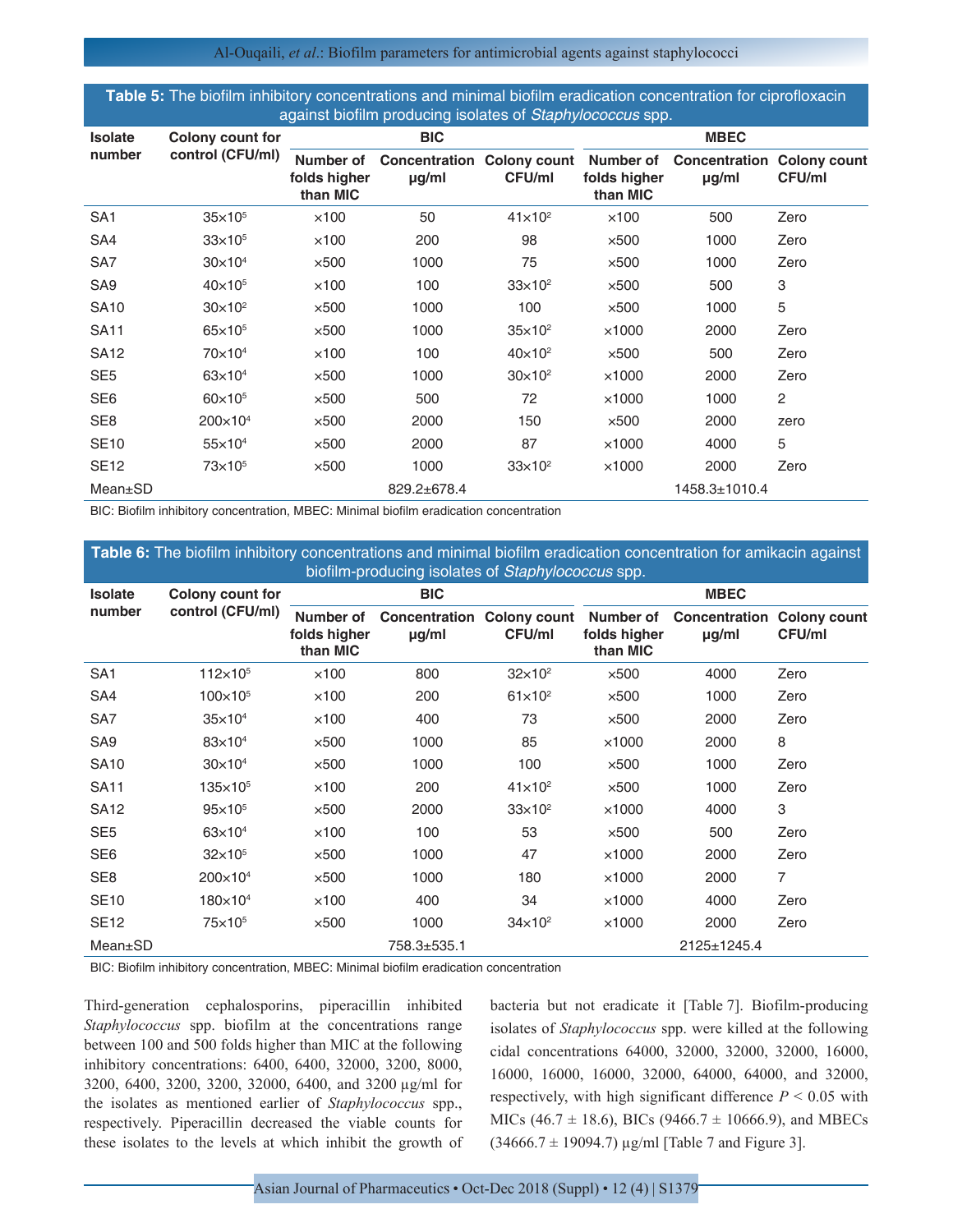Al-Ouqaili, *et al*.: Biofilm parameters for antimicrobial agents against staphylococci

| Table 5: The biofilm inhibitory concentrations and minimal biofilm eradication concentration for ciprofloxacin |
|----------------------------------------------------------------------------------------------------------------|
| against biofilm producing isolates of Staphylococcus spp.                                                      |

| <b>Isolate</b>  | Colony count for    | <b>BIC</b>                            |                                                 |                | <b>MBEC</b>                           |                             |                                      |  |
|-----------------|---------------------|---------------------------------------|-------------------------------------------------|----------------|---------------------------------------|-----------------------------|--------------------------------------|--|
| number          | control (CFU/ml)    | Number of<br>folds higher<br>than MIC | <b>Concentration Colony count</b><br>$\mu$ g/ml | <b>CFU/ml</b>  | Number of<br>folds higher<br>than MIC | Concentration<br>$\mu$ g/ml | <b>Colony count</b><br><b>CFU/ml</b> |  |
| SA <sub>1</sub> | $35\times10^{5}$    | $\times$ 100                          | 50                                              | $41\times10^2$ | $\times$ 100                          | 500                         | Zero                                 |  |
| SA4             | $33\times10^{5}$    | $\times$ 100                          | 200                                             | 98             | $\times$ 500                          | 1000                        | Zero                                 |  |
| SA7             | $30\times104$       | $\times$ 500                          | 1000                                            | 75             | $\times$ 500                          | 1000                        | Zero                                 |  |
| SA <sub>9</sub> | $40\times10^{5}$    | $\times$ 100                          | 100                                             | $33\times10^2$ | $\times$ 500                          | 500                         | 3                                    |  |
| <b>SA10</b>     | $30\times10^2$      | $\times$ 500                          | 1000                                            | 100            | $\times$ 500                          | 1000                        | 5                                    |  |
| <b>SA11</b>     | $65\times10^{5}$    | $\times$ 500                          | 1000                                            | $35\times10^2$ | $\times$ 1000                         | 2000                        | Zero                                 |  |
| <b>SA12</b>     | $70\times104$       | $\times$ 100                          | 100                                             | $40\times10^2$ | $\times$ 500                          | 500                         | Zero                                 |  |
| SE <sub>5</sub> | $63\times10^{4}$    | $\times$ 500                          | 1000                                            | $30\times10^2$ | $\times$ 1000                         | 2000                        | Zero                                 |  |
| SE <sub>6</sub> | $60\times10^{5}$    | $\times$ 500                          | 500                                             | 72             | $\times$ 1000                         | 1000                        | $\overline{c}$                       |  |
| SE <sub>8</sub> | $200 \times 10^{4}$ | $\times$ 500                          | 2000                                            | 150            | $\times$ 500                          | 2000                        | zero                                 |  |
| <b>SE10</b>     | $55 \times 10^{4}$  | $\times$ 500                          | 2000                                            | 87             | $\times$ 1000                         | 4000                        | 5                                    |  |
| <b>SE12</b>     | 73×10 <sup>5</sup>  | $\times$ 500                          | 1000                                            | $33\times10^2$ | $\times$ 1000                         | 2000                        | Zero                                 |  |
| Mean±SD         |                     |                                       | 829.2±678.4                                     |                |                                       | 1458.3±1010.4               |                                      |  |

BIC: Biofilm inhibitory concentration, MBEC: Minimal biofilm eradication concentration

| <b>Table 6:</b> The biofilm inhibitory concentrations and minimal biofilm eradication concentration for amikacin against<br>biofilm-producing isolates of Staphylococcus spp. |                                             |                                       |                                                 |                |                                       |                             |                               |  |  |  |
|-------------------------------------------------------------------------------------------------------------------------------------------------------------------------------|---------------------------------------------|---------------------------------------|-------------------------------------------------|----------------|---------------------------------------|-----------------------------|-------------------------------|--|--|--|
| <b>Isolate</b><br>number                                                                                                                                                      | <b>Colony count for</b><br>control (CFU/ml) |                                       | <b>BIC</b>                                      |                | <b>MBEC</b>                           |                             |                               |  |  |  |
|                                                                                                                                                                               |                                             | Number of<br>folds higher<br>than MIC | <b>Concentration Colony count</b><br>$\mu$ g/ml | CFU/ml         | Number of<br>folds higher<br>than MIC | Concentration<br>$\mu$ g/ml | <b>Colony count</b><br>CFU/ml |  |  |  |
| SA <sub>1</sub>                                                                                                                                                               | $112\times10^{5}$                           | $\times$ 100                          | 800                                             | $32\times10^2$ | $\times$ 500                          | 4000                        | Zero                          |  |  |  |
| SA4                                                                                                                                                                           | $100 \times 10^{5}$                         | $\times$ 100                          | 200                                             | $61\times10^2$ | $\times$ 500                          | 1000                        | Zero                          |  |  |  |
| SA7                                                                                                                                                                           | $35\times10^4$                              | $\times$ 100                          | 400                                             | 73             | $\times$ 500                          | 2000                        | Zero                          |  |  |  |
| SA <sub>9</sub>                                                                                                                                                               | $83\times10^4$                              | $\times$ 500                          | 1000                                            | 85             | $\times$ 1000                         | 2000                        | 8                             |  |  |  |
| <b>SA10</b>                                                                                                                                                                   | $30\times10^4$                              | $\times$ 500                          | 1000                                            | 100            | $\times$ 500                          | 1000                        | Zero                          |  |  |  |
| <b>SA11</b>                                                                                                                                                                   | $135\times10^{5}$                           | $\times$ 100                          | 200                                             | $41\times10^2$ | $\times$ 500                          | 1000                        | Zero                          |  |  |  |
| <b>SA12</b>                                                                                                                                                                   | $95 \times 10^{5}$                          | $\times$ 500                          | 2000                                            | $33\times10^2$ | $\times$ 1000                         | 4000                        | 3                             |  |  |  |
| SE <sub>5</sub>                                                                                                                                                               | $63\times10^{4}$                            | $\times$ 100                          | 100                                             | 53             | $\times$ 500                          | 500                         | Zero                          |  |  |  |
| SE <sub>6</sub>                                                                                                                                                               | $32\times10^{5}$                            | $\times$ 500                          | 1000                                            | 47             | $\times$ 1000                         | 2000                        | Zero                          |  |  |  |
| SE <sub>8</sub>                                                                                                                                                               | $200 \times 10^{4}$                         | $\times$ 500                          | 1000                                            | 180            | $\times$ 1000                         | 2000                        | 7                             |  |  |  |
| <b>SE10</b>                                                                                                                                                                   | $180\times10^4$                             | $\times$ 100                          | 400                                             | 34             | $\times$ 1000                         | 4000                        | Zero                          |  |  |  |
| <b>SE12</b>                                                                                                                                                                   | 75×10 <sup>5</sup>                          | $\times$ 500                          | 1000                                            | $34\times10^2$ | $\times$ 1000                         | 2000                        | Zero                          |  |  |  |
| Mean±SD                                                                                                                                                                       |                                             |                                       | 758.3±535.1                                     |                |                                       | 2125±1245.4                 |                               |  |  |  |
|                                                                                                                                                                               |                                             |                                       |                                                 |                |                                       |                             |                               |  |  |  |

BIC: Biofilm inhibitory concentration, MBEC: Minimal biofilm eradication concentration

Third-generation cephalosporins, piperacillin inhibited *Staphylococcus* spp. biofilm at the concentrations range between 100 and 500 folds higher than MIC at the following inhibitory concentrations: 6400, 6400, 32000, 3200, 8000, 3200, 6400, 3200, 3200, 32000, 6400, and 3200 µg/ml for the isolates as mentioned earlier of *Staphylococcus* spp., respectively. Piperacillin decreased the viable counts for these isolates to the levels at which inhibit the growth of bacteria but not eradicate it [Table 7]. Biofilm-producing isolates of *Staphylococcus* spp. were killed at the following cidal concentrations 64000, 32000, 32000, 32000, 16000, 16000, 16000, 16000, 32000, 64000, 64000, and 32000, respectively, with high significant difference  $P < 0.05$  with MICs (46.7  $\pm$  18.6), BICs (9466.7  $\pm$  10666.9), and MBECs  $(34666.7 \pm 19094.7) \,\mu\text{g/ml}$  [Table 7 and Figure 3].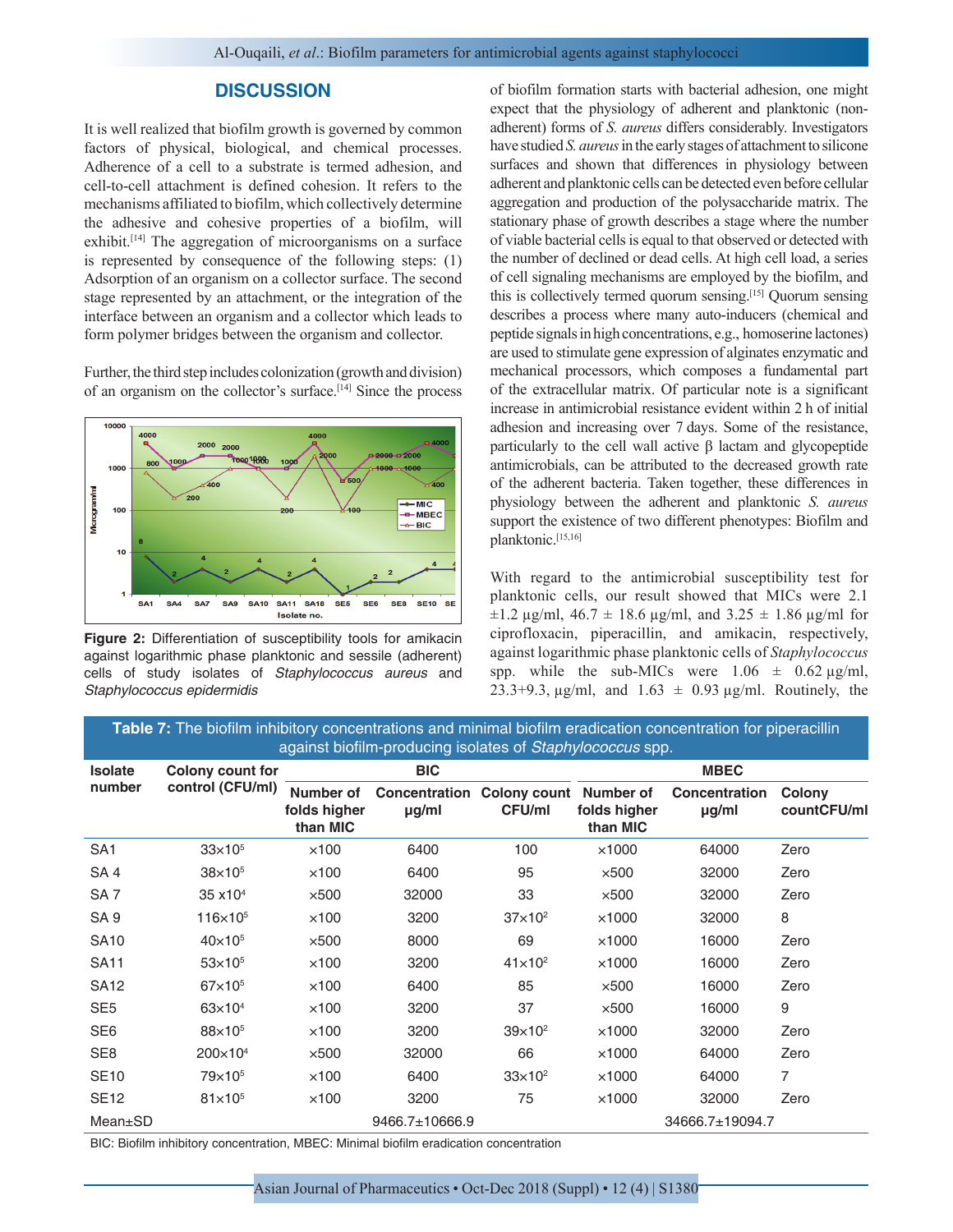## **DISCUSSION**

It is well realized that biofilm growth is governed by common factors of physical, biological, and chemical processes. Adherence of a cell to a substrate is termed adhesion, and cell-to-cell attachment is defined cohesion. It refers to the mechanisms affiliated to biofilm, which collectively determine the adhesive and cohesive properties of a biofilm, will exhibit.[14] The aggregation of microorganisms on a surface is represented by consequence of the following steps: (1) Adsorption of an organism on a collector surface. The second stage represented by an attachment, or the integration of the interface between an organism and a collector which leads to form polymer bridges between the organism and collector.

Further, the third step includes colonization (growth and division) of an organism on the collector's surface.[14] Since the process



**Figure 2:** Differentiation of susceptibility tools for amikacin against logarithmic phase planktonic and sessile (adherent) cells of study isolates of *Staphylococcus aureus* and *Staphylococcus epidermidis*

of biofilm formation starts with bacterial adhesion, one might expect that the physiology of adherent and planktonic (nonadherent) forms of *S. aureus* differs considerably. Investigators have studied *S. aureus* in the early stages of attachment to silicone surfaces and shown that differences in physiology between adherent and planktonic cells can be detected even before cellular aggregation and production of the polysaccharide matrix. The stationary phase of growth describes a stage where the number of viable bacterial cells is equal to that observed or detected with the number of declined or dead cells. At high cell load, a series of cell signaling mechanisms are employed by the biofilm, and this is collectively termed quorum sensing.[15] Quorum sensing describes a process where many auto-inducers (chemical and peptide signals in high concentrations, e.g., homoserine lactones) are used to stimulate gene expression of alginates enzymatic and mechanical processors, which composes a fundamental part of the extracellular matrix. Of particular note is a significant increase in antimicrobial resistance evident within 2 h of initial adhesion and increasing over 7 days. Some of the resistance, particularly to the cell wall active β lactam and glycopeptide antimicrobials, can be attributed to the decreased growth rate of the adherent bacteria. Taken together, these differences in physiology between the adherent and planktonic *S. aureus* support the existence of two different phenotypes: Biofilm and planktonic.[15,16]

With regard to the antimicrobial susceptibility test for planktonic cells, our result showed that MICs were 2.1  $\pm 1.2$  µg/ml, 46.7  $\pm$  18.6 µg/ml, and 3.25  $\pm$  1.86 µg/ml for ciprofloxacin, piperacillin, and amikacin, respectively, against logarithmic phase planktonic cells of *Staphylococcus*  spp. while the sub-MICs were  $1.06 \pm 0.62 \,\mu g/ml$ , 23.3+9.3,  $\mu$ g/ml, and 1.63  $\pm$  0.93  $\mu$ g/ml. Routinely, the

**Table 7:** The biofilm inhibitory concentrations and minimal biofilm eradication concentration for piperacillin against biofilm‑producing isolates of *Staphylococcus* spp.

| <b>Isolate</b>  | Colony count for<br>control (CFU/ml) | <b>BIC</b>                            |                                                    |                  | <b>MBEC</b>              |                                    |                       |  |
|-----------------|--------------------------------------|---------------------------------------|----------------------------------------------------|------------------|--------------------------|------------------------------------|-----------------------|--|
| number          |                                      | Number of<br>folds higher<br>than MIC | Concentration Colony count Number of<br>$\mu$ g/ml | CFU/ml           | folds higher<br>than MIC | <b>Concentration</b><br>$\mu$ g/ml | Colony<br>countCFU/ml |  |
| SA <sub>1</sub> | $33\times10^{5}$                     | $\times$ 100                          | 6400                                               | 100              | $\times$ 1000            | 64000                              | Zero                  |  |
| SA <sub>4</sub> | $38\times10^{5}$                     | $\times$ 100                          | 6400                                               | 95               | $\times$ 500             | 32000                              | Zero                  |  |
| SA <sub>7</sub> | $35 \times 10^{4}$                   | $\times$ 500                          | 32000                                              | 33               | $\times$ 500             | 32000                              | Zero                  |  |
| SA <sub>9</sub> | $116\times10^{5}$                    | $\times$ 100                          | 3200                                               | $37\times10^2$   | $\times$ 1000            | 32000                              | 8                     |  |
| <b>SA10</b>     | $40\times10^{5}$                     | $\times$ 500                          | 8000                                               | 69               | $\times$ 1000            | 16000                              | Zero                  |  |
| <b>SA11</b>     | $53\times10^{5}$                     | $\times$ 100                          | 3200                                               | $41\times10^2$   | $\times$ 1000            | 16000                              | Zero                  |  |
| <b>SA12</b>     | $67\times10^{5}$                     | $\times$ 100                          | 6400                                               | 85               | $\times$ 500             | 16000                              | Zero                  |  |
| SE <sub>5</sub> | $63\times10^{4}$                     | $\times$ 100                          | 3200                                               | 37               | $\times$ 500             | 16000                              | 9                     |  |
| SE <sub>6</sub> | 88×10 <sup>5</sup>                   | $\times$ 100                          | 3200                                               | $39\times10^2$   | $\times$ 1000            | 32000                              | Zero                  |  |
| SE <sub>8</sub> | 200×10 <sup>4</sup>                  | $\times$ 500                          | 32000                                              | 66               | $\times$ 1000            | 64000                              | Zero                  |  |
| <b>SE10</b>     | 79×10 <sup>5</sup>                   | $\times$ 100                          | 6400                                               | $33 \times 10^2$ | $\times$ 1000            | 64000                              | 7                     |  |
| <b>SE12</b>     | $81\times10^{5}$                     | $\times$ 100                          | 3200                                               | 75               | $\times$ 1000            | 32000                              | Zero                  |  |
| $Mean \pm SD$   |                                      |                                       | 9466.7±10666.9                                     |                  |                          | 34666.7±19094.7                    |                       |  |

BIC: Biofilm inhibitory concentration, MBEC: Minimal biofilm eradication concentration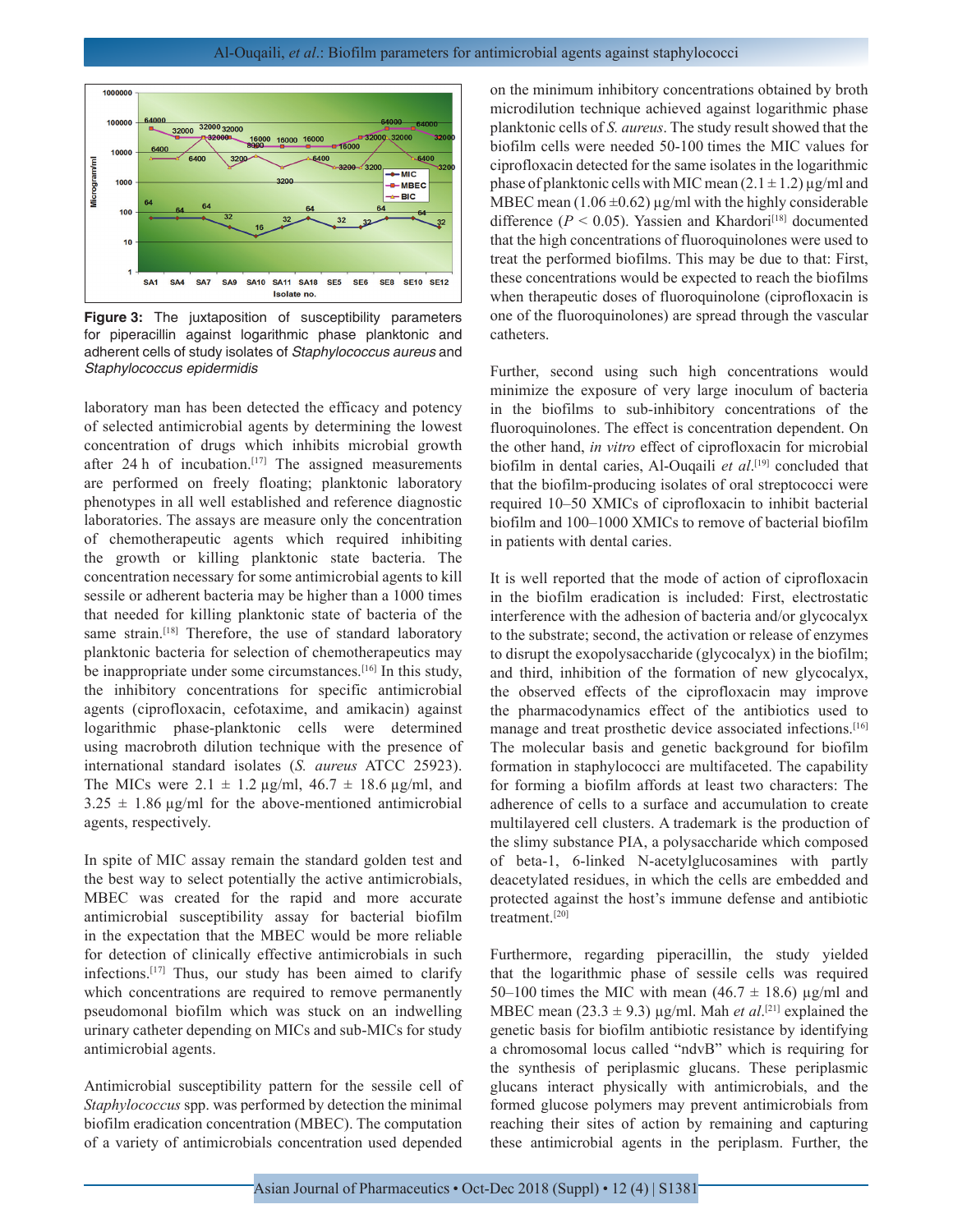

**Figure 3:** The juxtaposition of susceptibility parameters for piperacillin against logarithmic phase planktonic and adherent cells of study isolates of *Staphylococcus aureus* and *Staphylococcus epidermidis*

laboratory man has been detected the efficacy and potency of selected antimicrobial agents by determining the lowest concentration of drugs which inhibits microbial growth after 24 h of incubation.<sup>[17]</sup> The assigned measurements are performed on freely floating; planktonic laboratory phenotypes in all well established and reference diagnostic laboratories. The assays are measure only the concentration of chemotherapeutic agents which required inhibiting the growth or killing planktonic state bacteria. The concentration necessary for some antimicrobial agents to kill sessile or adherent bacteria may be higher than a 1000 times that needed for killing planktonic state of bacteria of the same strain.<sup>[18]</sup> Therefore, the use of standard laboratory planktonic bacteria for selection of chemotherapeutics may be inappropriate under some circumstances.<sup>[16]</sup> In this study, the inhibitory concentrations for specific antimicrobial agents (ciprofloxacin, cefotaxime, and amikacin) against logarithmic phase-planktonic cells were determined using macrobroth dilution technique with the presence of international standard isolates (*S. aureus* ATCC 25923). The MICs were  $2.1 \pm 1.2 \,\mu$ g/ml,  $46.7 \pm 18.6 \,\mu$ g/ml, and  $3.25 \pm 1.86$  µg/ml for the above-mentioned antimicrobial agents, respectively.

In spite of MIC assay remain the standard golden test and the best way to select potentially the active antimicrobials, MBEC was created for the rapid and more accurate antimicrobial susceptibility assay for bacterial biofilm in the expectation that the MBEC would be more reliable for detection of clinically effective antimicrobials in such infections.[17] Thus, our study has been aimed to clarify which concentrations are required to remove permanently pseudomonal biofilm which was stuck on an indwelling urinary catheter depending on MICs and sub-MICs for study antimicrobial agents.

Antimicrobial susceptibility pattern for the sessile cell of *Staphylococcus* spp. was performed by detection the minimal biofilm eradication concentration (MBEC). The computation of a variety of antimicrobials concentration used depended

on the minimum inhibitory concentrations obtained by broth microdilution technique achieved against logarithmic phase planktonic cells of *S. aureus*. The study result showed that the biofilm cells were needed 50-100 times the MIC values for ciprofloxacin detected for the same isolates in the logarithmic phase of planktonic cells with MIC mean  $(2.1 \pm 1.2)$  µg/ml and MBEC mean  $(1.06 \pm 0.62)$  µg/ml with the highly considerable difference ( $P < 0.05$ ). Yassien and Khardori<sup>[18]</sup> documented that the high concentrations of fluoroquinolones were used to treat the performed biofilms. This may be due to that: First, these concentrations would be expected to reach the biofilms when therapeutic doses of fluoroquinolone (ciprofloxacin is one of the fluoroquinolones) are spread through the vascular catheters.

Further, second using such high concentrations would minimize the exposure of very large inoculum of bacteria in the biofilms to sub-inhibitory concentrations of the fluoroquinolones. The effect is concentration dependent. On the other hand, *in vitro* effect of ciprofloxacin for microbial biofilm in dental caries, Al-Ouqaili *et al*. [19] concluded that that the biofilm-producing isolates of oral streptococci were required 10–50 XMICs of ciprofloxacin to inhibit bacterial biofilm and 100–1000 XMICs to remove of bacterial biofilm in patients with dental caries.

It is well reported that the mode of action of ciprofloxacin in the biofilm eradication is included: First, electrostatic interference with the adhesion of bacteria and/or glycocalyx to the substrate; second, the activation or release of enzymes to disrupt the exopolysaccharide (glycocalyx) in the biofilm; and third, inhibition of the formation of new glycocalyx, the observed effects of the ciprofloxacin may improve the pharmacodynamics effect of the antibiotics used to manage and treat prosthetic device associated infections.<sup>[16]</sup> The molecular basis and genetic background for biofilm formation in staphylococci are multifaceted. The capability for forming a biofilm affords at least two characters: The adherence of cells to a surface and accumulation to create multilayered cell clusters. A trademark is the production of the slimy substance PIA, a polysaccharide which composed of beta-1, 6-linked N-acetylglucosamines with partly deacetylated residues, in which the cells are embedded and protected against the host's immune defense and antibiotic treatment.[20]

Furthermore, regarding piperacillin, the study yielded that the logarithmic phase of sessile cells was required 50–100 times the MIC with mean (46.7  $\pm$  18.6) µg/ml and MBEC mean  $(23.3 \pm 9.3)$  µg/ml. Mah *et al*.<sup>[21]</sup> explained the genetic basis for biofilm antibiotic resistance by identifying a chromosomal locus called "ndvB" which is requiring for the synthesis of periplasmic glucans. These periplasmic glucans interact physically with antimicrobials, and the formed glucose polymers may prevent antimicrobials from reaching their sites of action by remaining and capturing these antimicrobial agents in the periplasm. Further, the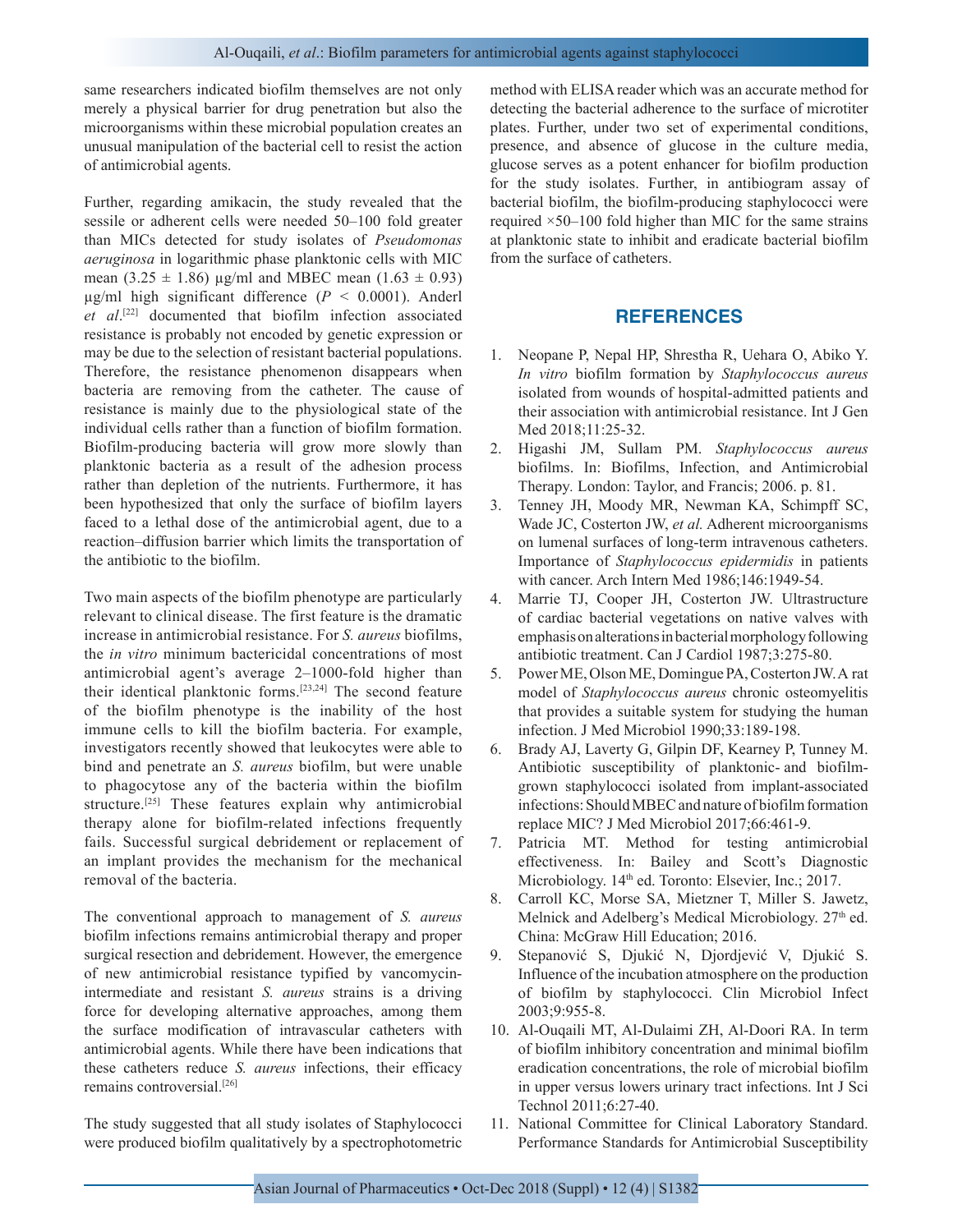same researchers indicated biofilm themselves are not only merely a physical barrier for drug penetration but also the microorganisms within these microbial population creates an unusual manipulation of the bacterial cell to resist the action of antimicrobial agents.

Further, regarding amikacin, the study revealed that the sessile or adherent cells were needed 50–100 fold greater than MICs detected for study isolates of *Pseudomonas aeruginosa* in logarithmic phase planktonic cells with MIC mean  $(3.25 \pm 1.86)$  µg/ml and MBEC mean  $(1.63 \pm 0.93)$ µg/ml high significant difference (*P* < 0.0001). Anderl *et al*. [22] documented that biofilm infection associated resistance is probably not encoded by genetic expression or may be due to the selection of resistant bacterial populations. Therefore, the resistance phenomenon disappears when bacteria are removing from the catheter. The cause of resistance is mainly due to the physiological state of the individual cells rather than a function of biofilm formation. Biofilm-producing bacteria will grow more slowly than planktonic bacteria as a result of the adhesion process rather than depletion of the nutrients. Furthermore, it has been hypothesized that only the surface of biofilm layers faced to a lethal dose of the antimicrobial agent, due to a reaction–diffusion barrier which limits the transportation of the antibiotic to the biofilm.

Two main aspects of the biofilm phenotype are particularly relevant to clinical disease. The first feature is the dramatic increase in antimicrobial resistance. For *S. aureus* biofilms, the *in vitro* minimum bactericidal concentrations of most antimicrobial agent's average 2–1000-fold higher than their identical planktonic forms.[23,24] The second feature of the biofilm phenotype is the inability of the host immune cells to kill the biofilm bacteria. For example, investigators recently showed that leukocytes were able to bind and penetrate an *S. aureus* biofilm, but were unable to phagocytose any of the bacteria within the biofilm structure.<sup>[25]</sup> These features explain why antimicrobial therapy alone for biofilm-related infections frequently fails. Successful surgical debridement or replacement of an implant provides the mechanism for the mechanical removal of the bacteria.

The conventional approach to management of *S. aureus* biofilm infections remains antimicrobial therapy and proper surgical resection and debridement. However, the emergence of new antimicrobial resistance typified by vancomycinintermediate and resistant *S. aureus* strains is a driving force for developing alternative approaches, among them the surface modification of intravascular catheters with antimicrobial agents. While there have been indications that these catheters reduce *S. aureus* infections, their efficacy remains controversial.[26]

The study suggested that all study isolates of Staphylococci were produced biofilm qualitatively by a spectrophotometric method with ELISA reader which was an accurate method for detecting the bacterial adherence to the surface of microtiter plates. Further, under two set of experimental conditions, presence, and absence of glucose in the culture media, glucose serves as a potent enhancer for biofilm production for the study isolates. Further, in antibiogram assay of bacterial biofilm, the biofilm-producing staphylococci were required ×50–100 fold higher than MIC for the same strains at planktonic state to inhibit and eradicate bacterial biofilm from the surface of catheters.

# **REFERENCES**

- 1. Neopane P, Nepal HP, Shrestha R, Uehara O, Abiko Y. *In vitro* biofilm formation by *Staphylococcus aureus* isolated from wounds of hospital-admitted patients and their association with antimicrobial resistance. Int J Gen Med 2018;11:25-32.
- 2. Higashi JM, Sullam PM. *Staphylococcus aureus* biofilms. In: Biofilms, Infection, and Antimicrobial Therapy*.* London: Taylor, and Francis; 2006. p. 81.
- 3. Tenney JH, Moody MR, Newman KA, Schimpff SC, Wade JC, Costerton JW, *et al.* Adherent microorganisms on lumenal surfaces of long-term intravenous catheters. Importance of *Staphylococcus epidermidis* in patients with cancer. Arch Intern Med 1986;146:1949-54.
- 4. Marrie TJ, Cooper JH, Costerton JW. Ultrastructure of cardiac bacterial vegetations on native valves with emphasis on alterations in bacterial morphology following antibiotic treatment. Can J Cardiol 1987;3:275-80.
- 5. Power ME, Olson ME, Domingue PA, Costerton JW. A rat model of *Staphylococcus aureus* chronic osteomyelitis that provides a suitable system for studying the human infection. J Med Microbiol 1990;33:189-198.
- 6. Brady AJ, Laverty G, Gilpin DF, Kearney P, Tunney M. Antibiotic susceptibility of planktonic- and biofilmgrown staphylococci isolated from implant-associated infections: Should MBEC and nature of biofilm formation replace MIC? J Med Microbiol 2017;66:461-9.
- 7. Patricia MT. Method for testing antimicrobial effectiveness. In: Bailey and Scott's Diagnostic Microbiology. 14<sup>th</sup> ed. Toronto: Elsevier, Inc.; 2017.
- 8. Carroll KC, Morse SA, Mietzner T, Miller S. Jawetz, Melnick and Adelberg's Medical Microbiology.  $27<sup>th</sup>$  ed. China: McGraw Hill Education; 2016.
- 9. Stepanović S, Djukić N, Djordjević V, Djukić S. Influence of the incubation atmosphere on the production of biofilm by staphylococci. Clin Microbiol Infect 2003;9:955-8.
- 10. Al-Ouqaili MT, Al-Dulaimi ZH, Al-Doori RA. In term of biofilm inhibitory concentration and minimal biofilm eradication concentrations, the role of microbial biofilm in upper versus lowers urinary tract infections. Int J Sci Technol 2011;6:27-40.
- 11. National Committee for Clinical Laboratory Standard. Performance Standards for Antimicrobial Susceptibility